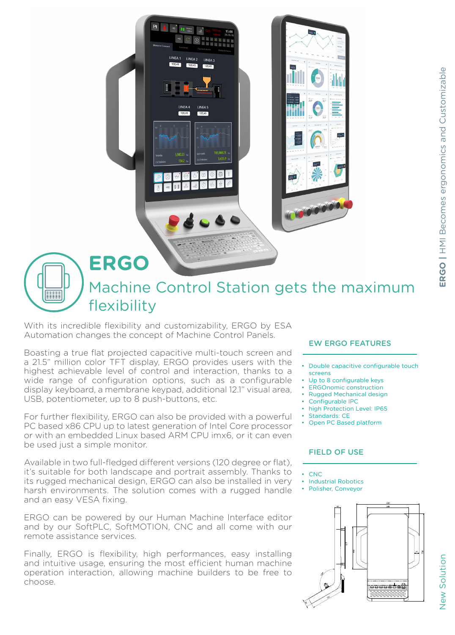

With its incredible flexibility and customizability, ERGO by ESA Automation changes the concept of Machine Control Panels.

Boasting a true flat projected capacitive multi-touch screen and a 21.5" million color TFT display, ERGO provides users with the highest achievable level of control and interaction, thanks to a wide range of configuration options, such as a configurable display keyboard, a membrane keypad, additional 12.1" visual area, USB, potentiometer, up to 8 push-buttons, etc.

For further flexibility, ERGO can also be provided with a powerful PC based x86 CPU up to latest generation of Intel Core processor or with an embedded Linux based ARM CPU imx6, or it can even be used just a simple monitor.

Available in two full-fledged different versions (120 degree or flat), it's suitable for both landscape and portrait assembly. Thanks to its rugged mechanical design, ERGO can also be installed in very harsh environments. The solution comes with a rugged handle and an easy VESA fixing.

ERGO can be powered by our Human Machine Interface editor and by our SoftPLC, SoftMOTION, CNC and all come with our remote assistance services.

Finally, ERGO is flexibility, high performances, easy installing and intuitive usage, ensuring the most efficient human machine operation interaction, allowing machine builders to be free to choose.

## EW ERGO FEATURES

- Double capacitive configurable touch screens
- Up to 8 configurable keys
- ERGOnomic construction
- Rugged Mechanical design
- Configurable IPC
- high Protection Level: IP65
- Standards: CE
- Open PC Based platform

## FIELD OF USE

- CNC
- Industrial Robotics
- Polisher, Conveyor